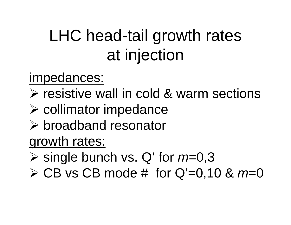## LHC head-tail growth rates at injection

## impedances:

- ¾ resistive wall in cold & warm sections
- ¾ collimator impedance
- ¾ broadband resonator

## growth rates:

- ¾ single bunch vs. Q' for *<sup>m</sup>*=0,3
- ¾ CB vs CB mode # for Q'=0,10 & *m*=0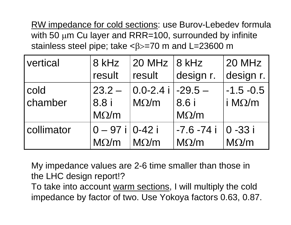RW impedance for cold sections: use Burov-Lebedev formula with 50 µm Cu layer and RRR=100, surrounded by infinite stainless steel pipe; take  $\langle \beta \rangle = 70$  m and L=23600 m

| vertical   | 8 kHz              | 20 MHz $ 8$ kHz             |              | 20 MHz         |
|------------|--------------------|-----------------------------|--------------|----------------|
|            | result             | result                      | design r.    | design r.      |
| cold       | $23.2 -$           | $ 0.0$ -2.4 i $ $ -29.5 $-$ |              | $-1.5 - 0.5$   |
| chamber    | 8.8 i              | $M\Omega/m$                 | 8.6 i        | i M $\Omega/m$ |
|            | $M\Omega/m$        |                             | $M\Omega/m$  |                |
| collimator | $0 - 97i$   0-42 i |                             | $-7.6 - 74i$ | $ 0 - 33 $     |
|            | $M\Omega/m$        | $M\Omega/m$                 | $M\Omega/m$  | $M\Omega/m$    |

My impedance values are 2-6 time smaller than those in the LHC design report!?

To take into account warm sections, I will multiply the cold impedance by factor of two. Use Yokoya factors 0.63, 0.87.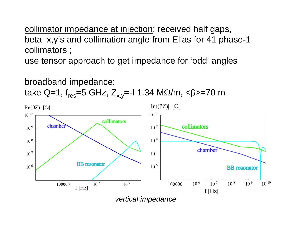collimator impedance at injection: received half gaps, beta x,y's and collimation angle from Elias for 41 phase-1 collimators ;

use tensor approach to get impedance for 'odd' angles

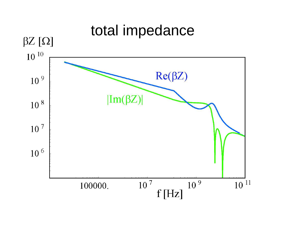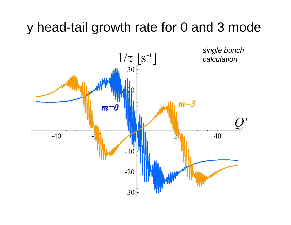## y head-tail growth rate for 0 and 3 mode

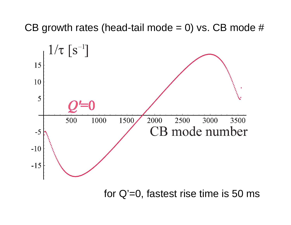CB growth rates (head-tail mode  $= 0$ ) vs. CB mode #



for Q'=0, fastest rise time is 50 ms